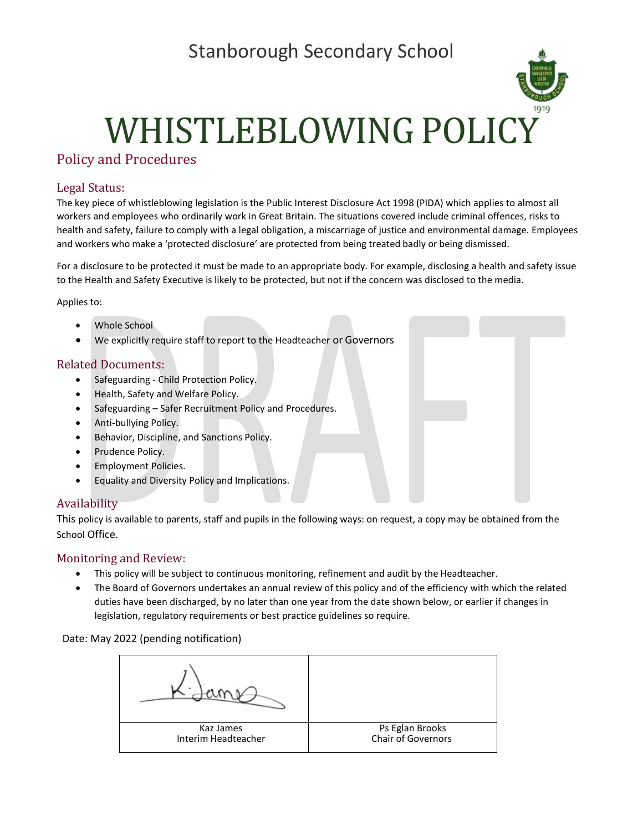# Stanborough Secondary School



# WHISTLEBLOWING POLICY

#### Policy and Procedures

#### Legal Status:

The key piece of whistleblowing legislation is the Public Interest Disclosure Act 1998 (PIDA) which applies to almost all workers and employees who ordinarily work in Great Britain. The situations covered include criminal offences, risks to health and safety, failure to comply with a legal obligation, a miscarriage of justice and environmental damage. Employees and workers who make a 'protected disclosure' are protected from being treated badly or being dismissed.

For a disclosure to be protected it must be made to an appropriate body. For example, disclosing a health and safety issue to the Health and Safety Executive is likely to be protected, but not if the concern was disclosed to the media.

Applies to:

- Whole School
- We explicitly require staff to report to the Headteacher or Governors

#### Related Documents:

- Safeguarding Child Protection Policy.
- Health, Safety and Welfare Policy.
- Safeguarding Safer Recruitment Policy and Procedures.
- Anti-bullying Policy.
- Behavior, Discipline, and Sanctions Policy.
- Prudence Policy.
- Employment Policies.
- Equality and Diversity Policy and Implications.

#### Availability

This policy is available to parents, staff and pupils in the following ways: on request, a copy may be obtained from the School Office.

#### Monitoring and Review:

- This policy will be subject to continuous monitoring, refinement and audit by the Headteacher.
- The Board of Governors undertakes an annual review of this policy and of the efficiency with which the related duties have been discharged, by no later than one year from the date shown below, or earlier if changes in legislation, regulatory requirements or best practice guidelines so require.

Date: May 2022 (pending notification)

| Kaz James           | Ps Eglan Brooks    |
|---------------------|--------------------|
| Interim Headteacher | Chair of Governors |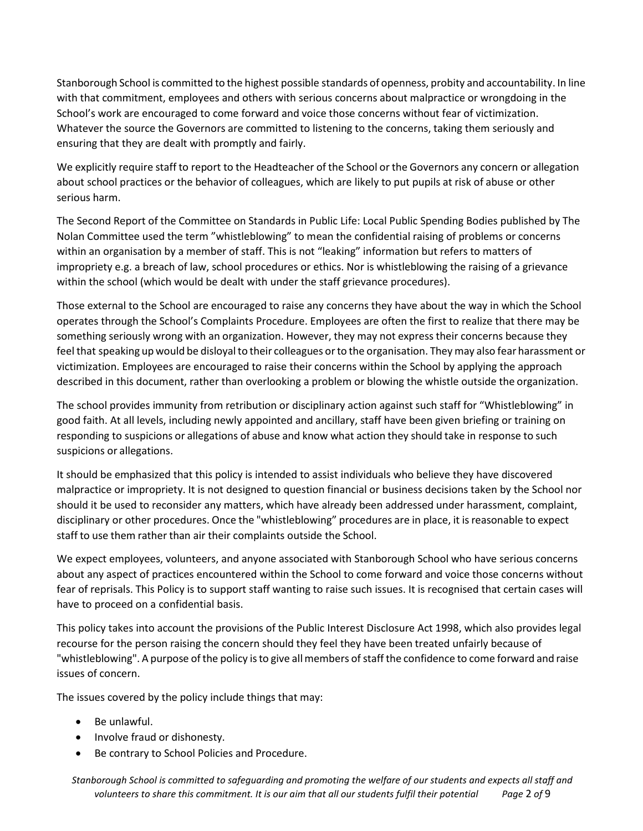Stanborough School is committed to the highest possible standards of openness, probity and accountability. In line with that commitment, employees and others with serious concerns about malpractice or wrongdoing in the School's work are encouraged to come forward and voice those concerns without fear of victimization. Whatever the source the Governors are committed to listening to the concerns, taking them seriously and ensuring that they are dealt with promptly and fairly.

We explicitly require staff to report to the Headteacher of the School or the Governors any concern or allegation about school practices or the behavior of colleagues, which are likely to put pupils at risk of abuse or other serious harm.

The Second Report of the Committee on Standards in Public Life: Local Public Spending Bodies published by The Nolan Committee used the term "whistleblowing" to mean the confidential raising of problems or concerns within an organisation by a member of staff. This is not "leaking" information but refers to matters of impropriety e.g. a breach of law, school procedures or ethics. Nor is whistleblowing the raising of a grievance within the school (which would be dealt with under the staff grievance procedures).

Those external to the School are encouraged to raise any concerns they have about the way in which the School operates through the School's Complaints Procedure. Employees are often the first to realize that there may be something seriously wrong with an organization. However, they may not express their concerns because they feel that speaking up would be disloyal to their colleagues or to the organisation. They may also fear harassment or victimization. Employees are encouraged to raise their concerns within the School by applying the approach described in this document, rather than overlooking a problem or blowing the whistle outside the organization.

The school provides immunity from retribution or disciplinary action against such staff for "Whistleblowing" in good faith. At all levels, including newly appointed and ancillary, staff have been given briefing or training on responding to suspicions or allegations of abuse and know what action they should take in response to such suspicions or allegations.

It should be emphasized that this policy is intended to assist individuals who believe they have discovered malpractice or impropriety. It is not designed to question financial or business decisions taken by the School nor should it be used to reconsider any matters, which have already been addressed under harassment, complaint, disciplinary or other procedures. Once the "whistleblowing" procedures are in place, it isreasonable to expect staff to use them rather than air their complaints outside the School.

We expect employees, volunteers, and anyone associated with Stanborough School who have serious concerns about any aspect of practices encountered within the School to come forward and voice those concerns without fear of reprisals. This Policy is to support staff wanting to raise such issues. It is recognised that certain cases will have to proceed on a confidential basis.

This policy takes into account the provisions of the Public Interest Disclosure Act 1998, which also provides legal recourse for the person raising the concern should they feel they have been treated unfairly because of "whistleblowing". A purpose of the policy is to give all members of staff the confidence to come forward and raise issues of concern.

The issues covered by the policy include things that may:

- Be unlawful.
- Involve fraud or dishonesty.
- Be contrary to School Policies and Procedure.

*Stanborough School is committed to safeguarding and promoting the welfare of our students and expects all staff and volunteers to share this commitment. It is our aim that all our students fulfil their potential Page* 2 *of* 9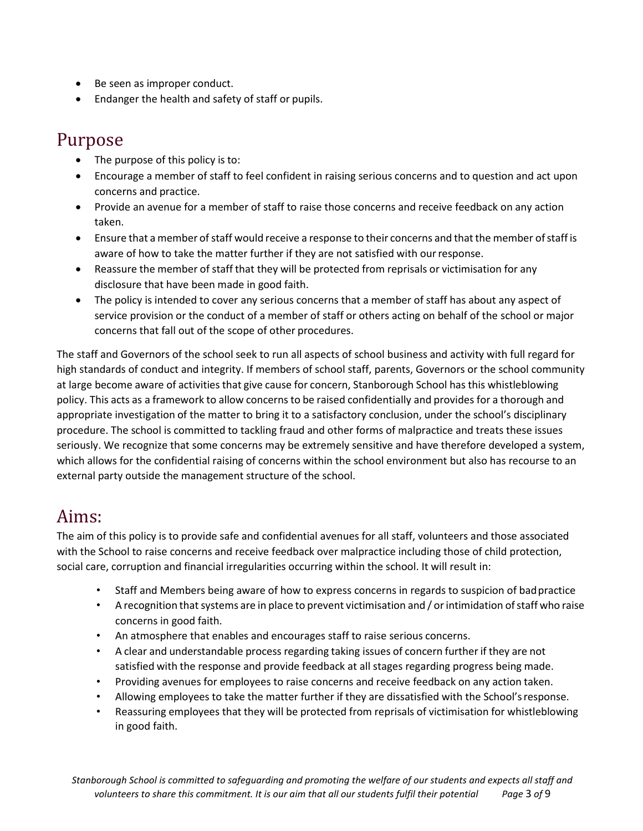- Be seen as improper conduct.
- Endanger the health and safety of staff or pupils.

## Purpose

- The purpose of this policy is to:
- Encourage a member of staff to feel confident in raising serious concerns and to question and act upon concerns and practice.
- Provide an avenue for a member of staff to raise those concerns and receive feedback on any action taken.
- Ensure that a member of staff would receive a response to their concerns and that the member of staff is aware of how to take the matter further if they are not satisfied with ourresponse.
- Reassure the member of staff that they will be protected from reprisals or victimisation for any disclosure that have been made in good faith.
- The policy is intended to cover any serious concerns that a member of staff has about any aspect of service provision or the conduct of a member of staff or others acting on behalf of the school or major concerns that fall out of the scope of other procedures.

The staff and Governors of the school seek to run all aspects of school business and activity with full regard for high standards of conduct and integrity. If members of school staff, parents, Governors or the school community at large become aware of activities that give cause for concern, Stanborough School has this whistleblowing policy. This acts as a framework to allow concerns to be raised confidentially and provides for a thorough and appropriate investigation of the matter to bring it to a satisfactory conclusion, under the school's disciplinary procedure. The school is committed to tackling fraud and other forms of malpractice and treats these issues seriously. We recognize that some concerns may be extremely sensitive and have therefore developed a system, which allows for the confidential raising of concerns within the school environment but also has recourse to an external party outside the management structure of the school.

#### Aims:

The aim of this policy is to provide safe and confidential avenues for all staff, volunteers and those associated with the School to raise concerns and receive feedback over malpractice including those of child protection, social care, corruption and financial irregularities occurring within the school. It will result in:

- Staff and Members being aware of how to express concerns in regards to suspicion of badpractice
- A recognition that systems are in place to prevent victimisation and / or intimidation of staff who raise concerns in good faith.
- An atmosphere that enables and encourages staff to raise serious concerns.
- A clear and understandable process regarding taking issues of concern further if they are not satisfied with the response and provide feedback at all stages regarding progress being made.
- Providing avenues for employees to raise concerns and receive feedback on any action taken.
- Allowing employees to take the matter further if they are dissatisfied with the School'sresponse.
- Reassuring employees that they will be protected from reprisals of victimisation for whistleblowing in good faith.

*Stanborough School is committed to safeguarding and promoting the welfare of our students and expects all staff and volunteers to share this commitment. It is our aim that all our students fulfil their potential Page* 3 *of* 9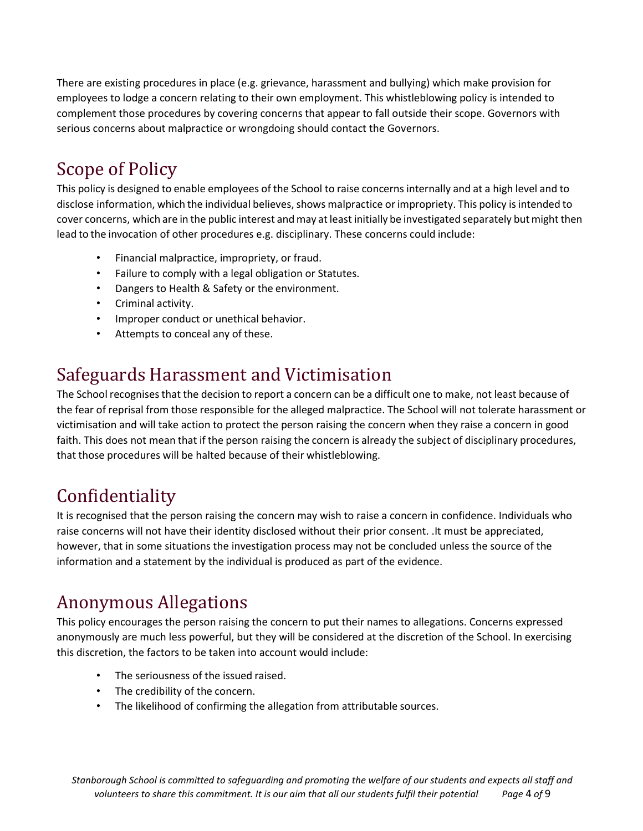There are existing procedures in place (e.g. grievance, harassment and bullying) which make provision for employees to lodge a concern relating to their own employment. This whistleblowing policy is intended to complement those procedures by covering concerns that appear to fall outside their scope. Governors with serious concerns about malpractice or wrongdoing should contact the Governors.

# Scope of Policy

This policy is designed to enable employees of the School to raise concernsinternally and at a high level and to disclose information, which the individual believes, shows malpractice or impropriety. This policy is intended to cover concerns, which are in the public interest and may at least initially be investigated separately but might then lead to the invocation of other procedures e.g. disciplinary. These concerns could include:

- Financial malpractice, impropriety, or fraud.
- Failure to comply with a legal obligation or Statutes.
- Dangers to Health & Safety or the environment.
- Criminal activity.
- Improper conduct or unethical behavior.
- Attempts to conceal any of these.

## Safeguards Harassment and Victimisation

The School recognisesthat the decision to report a concern can be a difficult one to make, not least because of the fear of reprisal from those responsible for the alleged malpractice. The School will not tolerate harassment or victimisation and will take action to protect the person raising the concern when they raise a concern in good faith. This does not mean that if the person raising the concern is already the subject of disciplinary procedures, that those procedures will be halted because of their whistleblowing.

## Confidentiality

It is recognised that the person raising the concern may wish to raise a concern in confidence. Individuals who raise concerns will not have their identity disclosed without their prior consent. .It must be appreciated, however, that in some situations the investigation process may not be concluded unless the source of the information and a statement by the individual is produced as part of the evidence.

## Anonymous Allegations

This policy encourages the person raising the concern to put their names to allegations. Concerns expressed anonymously are much less powerful, but they will be considered at the discretion of the School. In exercising this discretion, the factors to be taken into account would include:

- The seriousness of the issued raised.
- The credibility of the concern.
- The likelihood of confirming the allegation from attributable sources.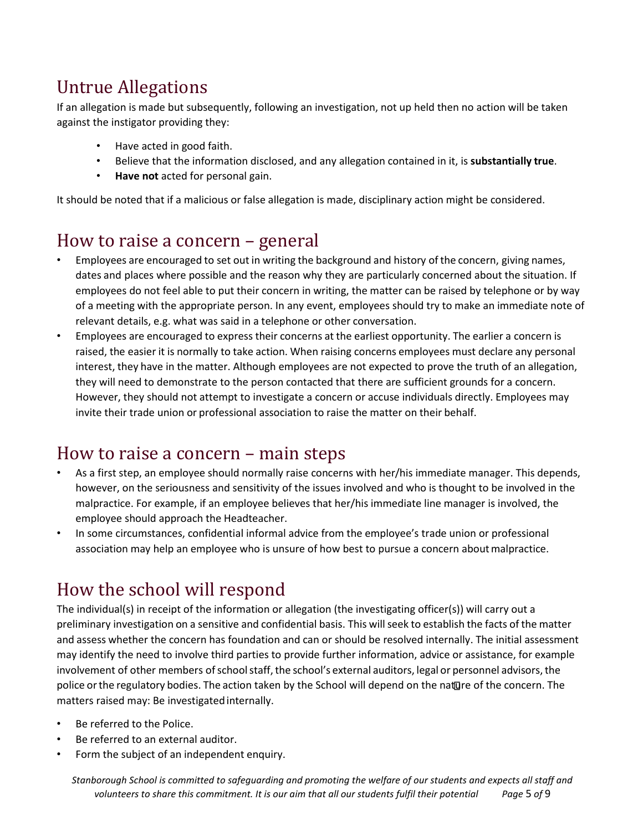# Untrue Allegations

If an allegation is made but subsequently, following an investigation, not up held then no action will be taken against the instigator providing they:

- Have acted in good faith.
- Believe that the information disclosed, and any allegation contained in it, is **substantially true**.
- **Have not** acted for personal gain.

It should be noted that if a malicious or false allegation is made, disciplinary action might be considered.

## How to raise a concern – general

- Employees are encouraged to set out in writing the background and history of the concern, giving names, dates and places where possible and the reason why they are particularly concerned about the situation. If employees do not feel able to put their concern in writing, the matter can be raised by telephone or by way of a meeting with the appropriate person. In any event, employees should try to make an immediate note of relevant details, e.g. what was said in a telephone or other conversation.
- Employees are encouraged to express their concerns at the earliest opportunity. The earlier a concern is raised, the easier it is normally to take action. When raising concerns employees must declare any personal interest, they have in the matter. Although employees are not expected to prove the truth of an allegation, they will need to demonstrate to the person contacted that there are sufficient grounds for a concern. However, they should not attempt to investigate a concern or accuse individuals directly. Employees may invite their trade union or professional association to raise the matter on their behalf.

## How to raise a concern – main steps

- As a first step, an employee should normally raise concerns with her/his immediate manager. This depends, however, on the seriousness and sensitivity of the issues involved and who is thought to be involved in the malpractice. For example, if an employee believes that her/his immediate line manager is involved, the employee should approach the Headteacher.
- In some circumstances, confidential informal advice from the employee's trade union or professional association may help an employee who is unsure of how best to pursue a concern aboutmalpractice.

# How the school will respond

The individual(s) in receipt of the information or allegation (the investigating officer(s)) will carry out a preliminary investigation on a sensitive and confidential basis. This willseek to establish the facts of the matter and assess whether the concern has foundation and can or should be resolved internally. The initial assessment may identify the need to involve third parties to provide further information, advice or assistance, for example involvement of other members of school staff, the school's external auditors, legal or personnel advisors, the police or the regulatory bodies. The action taken by the School will depend on the nature of the concern. The matters raised may: Be investigated internally.

- Be referred to the Police.
- Be referred to an external auditor.
- Form the subject of an independent enquiry.

*Stanborough School is committed to safeguarding and promoting the welfare of our students and expects all staff and volunteers to share this commitment. It is our aim that all our students fulfil their potential Page* 5 *of* 9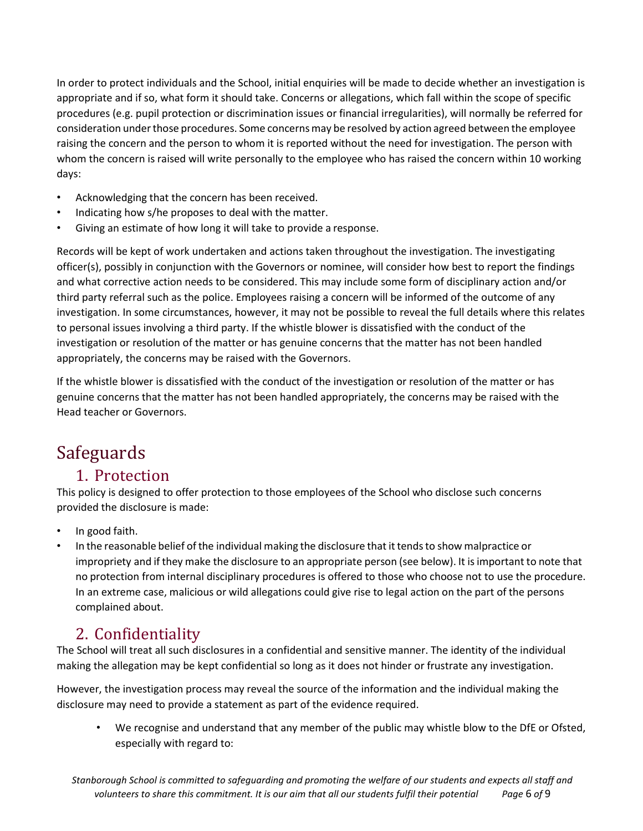In order to protect individuals and the School, initial enquiries will be made to decide whether an investigation is appropriate and if so, what form it should take. Concerns or allegations, which fall within the scope of specific procedures (e.g. pupil protection or discrimination issues or financial irregularities), will normally be referred for consideration underthose procedures. Some concernsmay be resolved by action agreed between the employee raising the concern and the person to whom it is reported without the need for investigation. The person with whom the concern is raised will write personally to the employee who has raised the concern within 10 working days:

- Acknowledging that the concern has been received.
- Indicating how s/he proposes to deal with the matter.
- Giving an estimate of how long it will take to provide a response.

Records will be kept of work undertaken and actions taken throughout the investigation. The investigating officer(s), possibly in conjunction with the Governors or nominee, will consider how best to report the findings and what corrective action needs to be considered. This may include some form of disciplinary action and/or third party referral such as the police. Employees raising a concern will be informed of the outcome of any investigation. In some circumstances, however, it may not be possible to reveal the full details where this relates to personal issues involving a third party. If the whistle blower is dissatisfied with the conduct of the investigation or resolution of the matter or has genuine concerns that the matter has not been handled appropriately, the concerns may be raised with the Governors.

If the whistle blower is dissatisfied with the conduct of the investigation or resolution of the matter or has genuine concerns that the matter has not been handled appropriately, the concerns may be raised with the Head teacher or Governors.

# Safeguards

#### 1. Protection

This policy is designed to offer protection to those employees of the School who disclose such concerns provided the disclosure is made:

- In good faith.
- In the reasonable belief of the individual making the disclosure that it tends to show malpractice or impropriety and if they make the disclosure to an appropriate person (see below). It isimportant to note that no protection from internal disciplinary procedures is offered to those who choose not to use the procedure. In an extreme case, malicious or wild allegations could give rise to legal action on the part of the persons complained about.

#### 2. Confidentiality

The School will treat all such disclosures in a confidential and sensitive manner. The identity of the individual making the allegation may be kept confidential so long as it does not hinder or frustrate any investigation.

However, the investigation process may reveal the source of the information and the individual making the disclosure may need to provide a statement as part of the evidence required.

• We recognise and understand that any member of the public may whistle blow to the DfE or Ofsted, especially with regard to: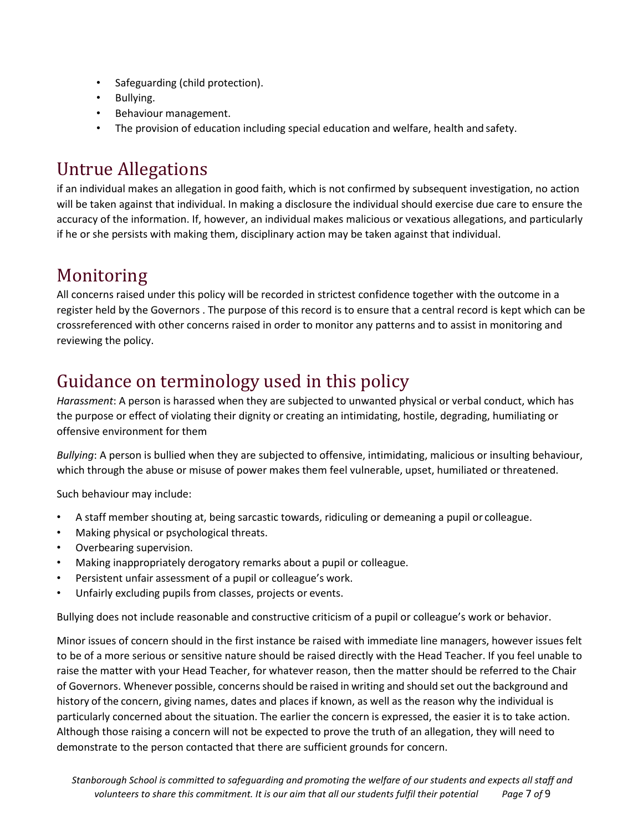- Safeguarding (child protection).
- Bullying.
- Behaviour management.
- The provision of education including special education and welfare, health and safety.

## Untrue Allegations

if an individual makes an allegation in good faith, which is not confirmed by subsequent investigation, no action will be taken against that individual. In making a disclosure the individual should exercise due care to ensure the accuracy of the information. If, however, an individual makes malicious or vexatious allegations, and particularly if he or she persists with making them, disciplinary action may be taken against that individual.

## Monitoring

All concerns raised under this policy will be recorded in strictest confidence together with the outcome in a register held by the Governors . The purpose of this record is to ensure that a central record is kept which can be crossreferenced with other concerns raised in order to monitor any patterns and to assist in monitoring and reviewing the policy.

## Guidance on terminology used in this policy

*Harassment*: A person is harassed when they are subjected to unwanted physical or verbal conduct, which has the purpose or effect of violating their dignity or creating an intimidating, hostile, degrading, humiliating or offensive environment for them

*Bullying*: A person is bullied when they are subjected to offensive, intimidating, malicious or insulting behaviour, which through the abuse or misuse of power makes them feel vulnerable, upset, humiliated or threatened.

Such behaviour may include:

- A staff member shouting at, being sarcastic towards, ridiculing or demeaning a pupil or colleague.
- Making physical or psychological threats.
- Overbearing supervision.
- Making inappropriately derogatory remarks about a pupil or colleague.
- Persistent unfair assessment of a pupil or colleague's work.
- Unfairly excluding pupils from classes, projects or events.

Bullying does not include reasonable and constructive criticism of a pupil or colleague's work or behavior.

Minor issues of concern should in the first instance be raised with immediate line managers, however issues felt to be of a more serious or sensitive nature should be raised directly with the Head Teacher. If you feel unable to raise the matter with your Head Teacher, for whatever reason, then the matter should be referred to the Chair of Governors. Whenever possible, concernsshould be raised in writing and should set out the background and history of the concern, giving names, dates and places if known, as well as the reason why the individual is particularly concerned about the situation. The earlier the concern is expressed, the easier it is to take action. Although those raising a concern will not be expected to prove the truth of an allegation, they will need to demonstrate to the person contacted that there are sufficient grounds for concern.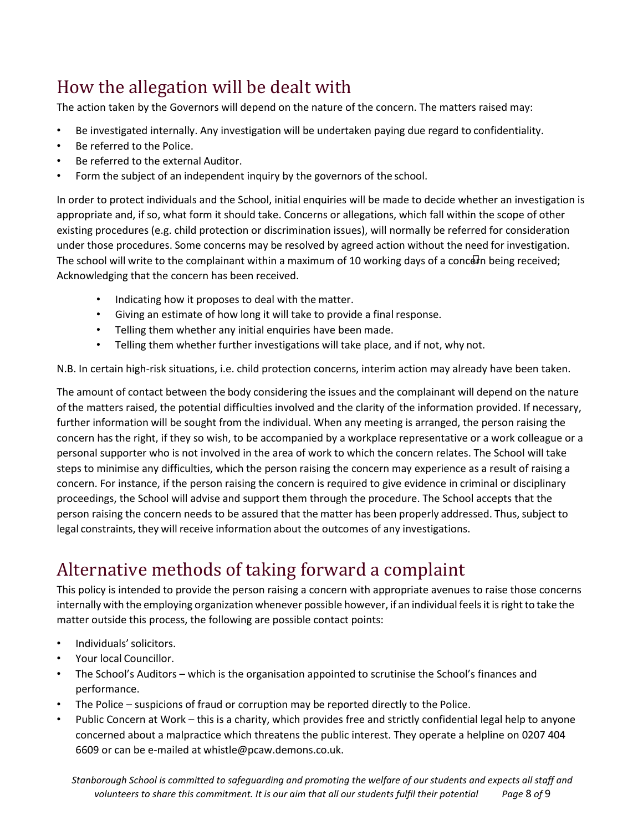# How the allegation will be dealt with

The action taken by the Governors will depend on the nature of the concern. The matters raised may:

- Be investigated internally. Any investigation will be undertaken paying due regard to confidentiality.
- Be referred to the Police.
- Be referred to the external Auditor.
- Form the subject of an independent inquiry by the governors of the school.

In order to protect individuals and the School, initial enquiries will be made to decide whether an investigation is appropriate and, if so, what form it should take. Concerns or allegations, which fall within the scope of other existing procedures (e.g. child protection or discrimination issues), will normally be referred for consideration under those procedures. Some concerns may be resolved by agreed action without the need for investigation. The school will write to the complainant within a maximum of 10 working days of a concern being received; Acknowledging that the concern has been received.

- Indicating how it proposes to deal with the matter.
- Giving an estimate of how long it will take to provide a final response.
- Telling them whether any initial enquiries have been made.
- Telling them whether further investigations will take place, and if not, why not.

N.B. In certain high-risk situations, i.e. child protection concerns, interim action may already have been taken.

The amount of contact between the body considering the issues and the complainant will depend on the nature of the matters raised, the potential difficulties involved and the clarity of the information provided. If necessary, further information will be sought from the individual. When any meeting is arranged, the person raising the concern has the right, if they so wish, to be accompanied by a workplace representative or a work colleague or a personal supporter who is not involved in the area of work to which the concern relates. The School will take steps to minimise any difficulties, which the person raising the concern may experience as a result of raising a concern. For instance, if the person raising the concern is required to give evidence in criminal or disciplinary proceedings, the School will advise and support them through the procedure. The School accepts that the person raising the concern needs to be assured that the matter has been properly addressed. Thus, subject to legal constraints, they will receive information about the outcomes of any investigations.

# Alternative methods of taking forward a complaint

This policy is intended to provide the person raising a concern with appropriate avenues to raise those concerns internally with the employing organization whenever possible however, if an individual feels it is right to take the matter outside this process, the following are possible contact points:

- Individuals'solicitors.
- Your local Councillor.
- The School's Auditors which is the organisation appointed to scrutinise the School's finances and performance.
- The Police suspicions of fraud or corruption may be reported directly to the Police.
- Public Concern at Work this is a charity, which provides free and strictly confidential legal help to anyone concerned about a malpractice which threatens the public interest. They operate a helpline on 0207 404 6609 or can be e-mailed at [whistle@pcaw.demons.co.uk.](mailto:whistle@pcaw.demons.co.uk)

*Stanborough School is committed to safeguarding and promoting the welfare of our students and expects all staff and volunteers to share this commitment. It is our aim that all our students fulfil their potential Page* 8 *of* 9